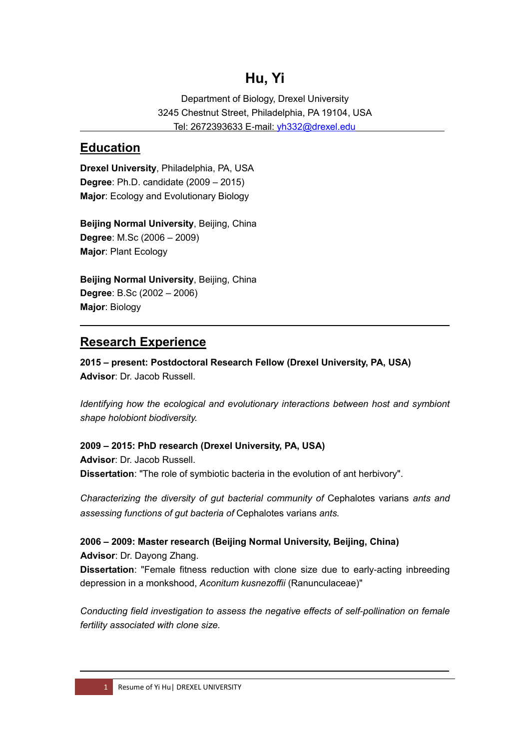# **Hu, Yi**

Department of Biology, Drexel University 3245 Chestnut Street, Philadelphia, PA 19104, USA Tel: 2672393633 E-mail: [yh332@drexel.edu](mailto:yh332@drexel.edu) 

#### **Education**

 $\overline{a}$ 

**Drexel University**, Philadelphia, PA, USA **Degree**: Ph.D. candidate (2009 – 2015) **Major**: Ecology and Evolutionary Biology

**Beijing Normal University**, Beijing, China **Degree**: M.Sc (2006 – 2009) **Major**: Plant Ecology

**Beijing Normal University**, Beijing, China **Degree**: B.Sc (2002 – 2006) **Major**: Biology

# **Research Experience**

**2015 – present: Postdoctoral Research Fellow (Drexel University, PA, USA) Advisor**: Dr. Jacob Russell.

*Identifying how the ecological and evolutionary interactions between host and symbiont shape holobiont biodiversity.*

**2009 – 2015: PhD research (Drexel University, PA, USA) Advisor**: Dr. Jacob Russell. **Dissertation**: "The role of symbiotic bacteria in the evolution of ant herbivory".

*Characterizing the diversity of gut bacterial community of* Cephalotes varians *ants and assessing functions of gut bacteria of* Cephalotes varians *ants.*

**2006 – 2009: Master research (Beijing Normal University, Beijing, China) Advisor**: Dr. Dayong Zhang. **Dissertation**: "Female fitness reduction with clone size due to early-acting inbreeding depression in a monkshood, *Aconitum kusnezoffii* (Ranunculaceae)"

*Conducting field investigation to assess the negative effects of self-pollination on female fertility associated with clone size.*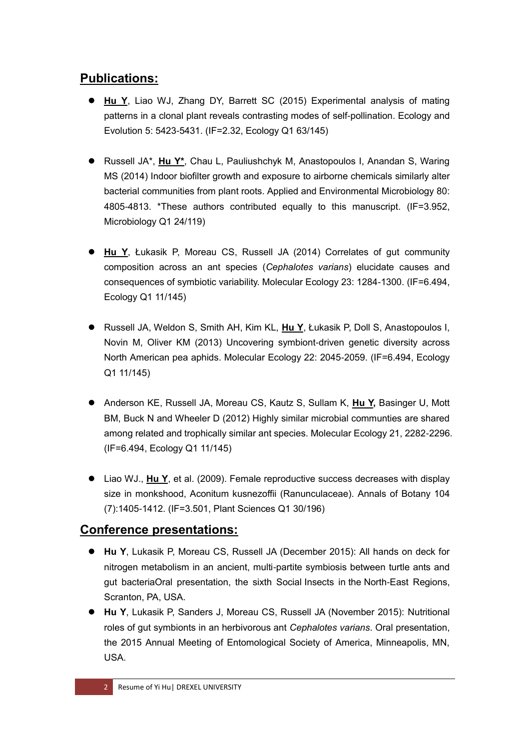# **Publications:**

- **Hu Y**, Liao WJ, Zhang DY, Barrett SC (2015) Experimental analysis of mating patterns in a clonal plant reveals contrasting modes of self-pollination. Ecology and Evolution 5: 5423-5431. (IF=2.32, Ecology Q1 63/145)
- Russell JA\*, **Hu Y\***, Chau L, Pauliushchyk M, Anastopoulos I, Anandan S, Waring MS (2014) Indoor biofilter growth and exposure to airborne chemicals similarly alter bacterial communities from plant roots. Applied and Environmental Microbiology 80: 4805-4813. \*These authors contributed equally to this manuscript. (IF=3.952, Microbiology Q1 24/119)
- **Hu Y**, Łukasik P, Moreau CS, Russell JA (2014) Correlates of gut community composition across an ant species (*Cephalotes varians*) elucidate causes and consequences of symbiotic variability. Molecular Ecology 23: 1284-1300. (IF=6.494, Ecology Q1 11/145)
- Russell JA, Weldon S, Smith AH, Kim KL, **Hu Y**, Łukasik P, Doll S, Anastopoulos I, Novin M, Oliver KM (2013) Uncovering symbiont-driven genetic diversity across North American pea aphids. Molecular Ecology 22: 2045-2059. (IF=6.494, Ecology Q1 11/145)
- Anderson KE, Russell JA, Moreau CS, Kautz S, Sullam K, **Hu Y,** Basinger U, Mott BM, Buck N and Wheeler D (2012) Highly similar microbial communties are shared among related and trophically similar ant species. Molecular Ecology 21, 2282-2296. (IF=6.494, Ecology Q1 11/145)
- Liao WJ., **Hu Y**, et al. (2009). Female reproductive success decreases with display size in monkshood, Aconitum kusnezoffii (Ranunculaceae). Annals of Botany 104 (7):1405-1412. (IF=3.501, Plant Sciences Q1 30/196)

#### **Conference presentations:**

- **Hu Y**, Lukasik P, Moreau CS, Russell JA (December 2015): All hands on deck for nitrogen metabolism in an ancient, multi-partite symbiosis between turtle ants and gut bacteriaOral presentation, the sixth Social Insects in the North-East Regions, Scranton, PA, USA.
- **Hu Y**, Lukasik P, Sanders J, Moreau CS, Russell JA (November 2015): Nutritional roles of gut symbionts in an herbivorous ant *Cephalotes varians*. Oral presentation, the 2015 Annual Meeting of Entomological Society of America, Minneapolis, MN, USA.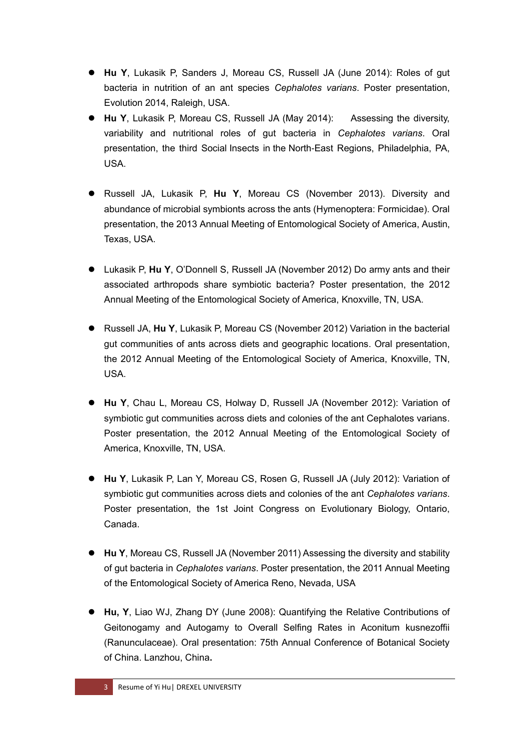- **Hu Y**, Lukasik P, Sanders J, Moreau CS, Russell JA (June 2014): Roles of gut bacteria in nutrition of an ant species *Cephalotes varians*. Poster presentation, Evolution 2014, Raleigh, USA.
- **Hu Y**, Lukasik P, Moreau CS, Russell JA (May 2014): Assessing the diversity, variability and nutritional roles of gut bacteria in *Cephalotes varians*. Oral presentation, the third Social Insects in the North-East Regions, Philadelphia, PA, USA.
- Russell JA, Lukasik P, **Hu Y**, Moreau CS (November 2013). Diversity and abundance of microbial symbionts across the ants (Hymenoptera: Formicidae). Oral presentation, the 2013 Annual Meeting of Entomological Society of America, Austin, Texas, USA.
- Lukasik P, **Hu Y**, O'Donnell S, Russell JA (November 2012) Do army ants and their associated arthropods share symbiotic bacteria? Poster presentation, the 2012 Annual Meeting of the Entomological Society of America, Knoxville, TN, USA.
- Russell JA, **Hu Y**, Lukasik P, Moreau CS (November 2012) Variation in the bacterial gut communities of ants across diets and geographic locations. Oral presentation, the 2012 Annual Meeting of the Entomological Society of America, Knoxville, TN, USA.
- **Hu Y**, Chau L, Moreau CS, Holway D, Russell JA (November 2012): Variation of symbiotic gut communities across diets and colonies of the ant Cephalotes varians. Poster presentation, the 2012 Annual Meeting of the Entomological Society of America, Knoxville, TN, USA.
- **Hu Y**, Lukasik P, Lan Y, Moreau CS, Rosen G, Russell JA (July 2012): Variation of symbiotic gut communities across diets and colonies of the ant *Cephalotes varians*. Poster presentation, the 1st Joint Congress on Evolutionary Biology, Ontario, Canada.
- **Hu Y**, Moreau CS, Russell JA (November 2011) Assessing the diversity and stability of gut bacteria in *Cephalotes varians*. Poster presentation, the 2011 Annual Meeting of the Entomological Society of America Reno, Nevada, USA
- **Hu, Y**, Liao WJ, Zhang DY (June 2008): Quantifying the Relative Contributions of Geitonogamy and Autogamy to Overall Selfing Rates in Aconitum kusnezoffii (Ranunculaceae). Oral presentation: 75th Annual Conference of Botanical Society of China. Lanzhou, China**.**